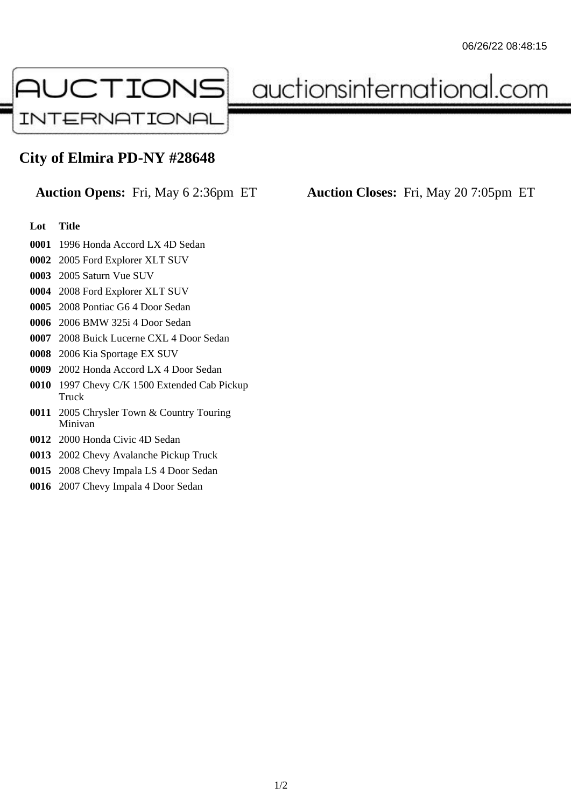

auctionsinternational.com

## **City of Elmira PD-NY #28648**

## **Lot Title**

- 1996 Honda Accord LX 4D Sedan
- 2005 Ford Explorer XLT SUV
- 2005 Saturn Vue SUV
- 2008 Ford Explorer XLT SUV
- 2008 Pontiac G6 4 Door Sedan
- 2006 BMW 325i 4 Door Sedan
- 2008 Buick Lucerne CXL 4 Door Sedan
- 2006 Kia Sportage EX SUV
- 2002 Honda Accord LX 4 Door Sedan
- 1997 Chevy C/K 1500 Extended Cab Pickup Truck
- 2005 Chrysler Town & Country Touring Minivan
- 2000 Honda Civic 4D Sedan
- 2002 Chevy Avalanche Pickup Truck
- 2008 Chevy Impala LS 4 Door Sedan
- 2007 Chevy Impala 4 Door Sedan

**Auction Opens:** Fri, May 6 2:36pm ET **Auction Closes:** Fri, May 20 7:05pm ET